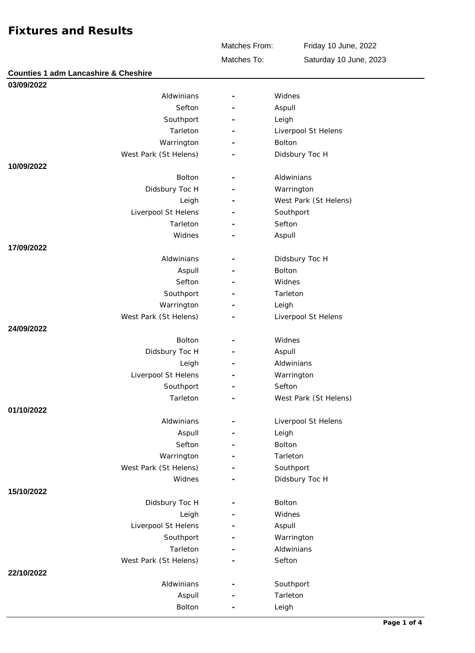Matches From:

Friday 10 June, 2022 Saturday 10 June, 2023

Matches To:

| <b>Counties 1 adm Lancashire &amp; Cheshire</b> |                          |                       |
|-------------------------------------------------|--------------------------|-----------------------|
| 03/09/2022                                      |                          |                       |
| Aldwinians                                      | $\overline{\phantom{a}}$ | Widnes                |
| Sefton                                          |                          | Aspull                |
| Southport                                       |                          | Leigh                 |
| Tarleton                                        |                          | Liverpool St Helens   |
| Warrington                                      |                          | Bolton                |
| West Park (St Helens)                           |                          | Didsbury Toc H        |
| 10/09/2022                                      |                          |                       |
| Bolton                                          |                          | Aldwinians            |
| Didsbury Toc H                                  |                          | Warrington            |
| Leigh                                           |                          | West Park (St Helens) |
| Liverpool St Helens                             |                          | Southport             |
| Tarleton                                        |                          | Sefton                |
| Widnes                                          |                          | Aspull                |
| 17/09/2022                                      |                          |                       |
| Aldwinians                                      |                          | Didsbury Toc H        |
| Aspull                                          |                          | Bolton                |
| Sefton                                          |                          | Widnes                |
| Southport                                       |                          | Tarleton              |
| Warrington                                      |                          | Leigh                 |
| West Park (St Helens)                           |                          | Liverpool St Helens   |
| 24/09/2022                                      |                          |                       |
| Bolton                                          | $\overline{\phantom{m}}$ | Widnes                |
| Didsbury Toc H                                  |                          | Aspull                |
| Leigh                                           |                          | Aldwinians            |
| Liverpool St Helens                             |                          | Warrington            |
| Southport                                       | Ē,                       | Sefton                |
| Tarleton                                        |                          | West Park (St Helens) |
| 01/10/2022                                      |                          |                       |
| Aldwinians                                      |                          | Liverpool St Helens   |
| Aspull                                          |                          | Leigh                 |
| Sefton                                          |                          | Bolton                |
| Warrington                                      |                          | Tarleton              |
| West Park (St Helens)                           |                          | Southport             |
| Widnes                                          |                          | Didsbury Toc H        |
| 15/10/2022                                      |                          |                       |
| Didsbury Toc H                                  | $\overline{\phantom{0}}$ | Bolton                |
| Leigh                                           |                          | Widnes                |
| Liverpool St Helens                             |                          | Aspull                |
| Southport                                       |                          | Warrington            |
| Tarleton                                        | $\overline{\phantom{m}}$ | Aldwinians            |
| West Park (St Helens)                           |                          | Sefton                |
| 22/10/2022                                      |                          |                       |
| Aldwinians                                      |                          | Southport             |
| Aspull                                          |                          | Tarleton              |
| Bolton                                          |                          | Leigh                 |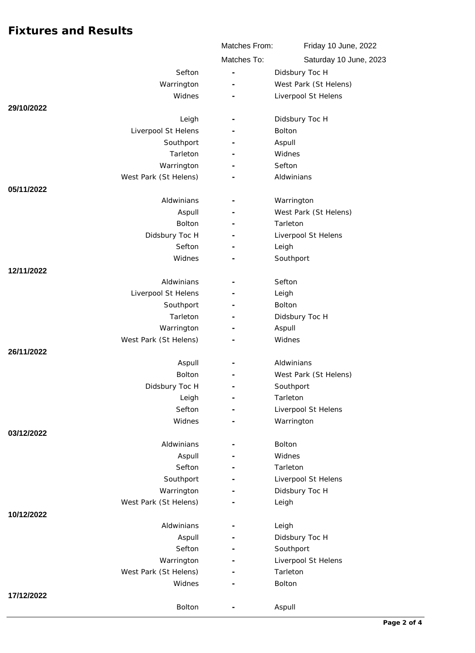|                       | Matches From:            | Friday 10 June, 2022   |
|-----------------------|--------------------------|------------------------|
|                       | Matches To:              | Saturday 10 June, 2023 |
| Sefton                | Ē,                       | Didsbury Toc H         |
| Warrington            |                          | West Park (St Helens)  |
| Widnes                |                          | Liverpool St Helens    |
| 29/10/2022            |                          |                        |
| Leigh                 |                          | Didsbury Toc H         |
| Liverpool St Helens   |                          | Bolton                 |
| Southport             |                          | Aspull                 |
| Tarleton              |                          | Widnes                 |
| Warrington            |                          | Sefton                 |
| West Park (St Helens) |                          | Aldwinians             |
| 05/11/2022            |                          |                        |
| Aldwinians            | $\overline{\phantom{a}}$ | Warrington             |
| Aspull                |                          | West Park (St Helens)  |
| <b>Bolton</b>         |                          | Tarleton               |
| Didsbury Toc H        |                          | Liverpool St Helens    |
| Sefton                |                          | Leigh                  |
| Widnes                |                          | Southport              |
| 12/11/2022            |                          |                        |
| Aldwinians            |                          | Sefton                 |
| Liverpool St Helens   | Ē,                       | Leigh                  |
| Southport             |                          | Bolton                 |
| Tarleton              |                          | Didsbury Toc H         |
| Warrington            |                          | Aspull                 |
| West Park (St Helens) |                          | Widnes                 |
| 26/11/2022            |                          |                        |
| Aspull                |                          | Aldwinians             |
| Bolton                |                          | West Park (St Helens)  |
| Didsbury Toc H        |                          | Southport              |
| Leigh                 |                          | Tarleton               |
| Sefton                |                          | Liverpool St Helens    |
| Widnes                |                          | Warrington             |
| 03/12/2022            |                          |                        |
| Aldwinians            |                          | Bolton                 |
| Aspull                |                          | Widnes                 |
| Sefton                |                          | Tarleton               |
| Southport             |                          | Liverpool St Helens    |
| Warrington            |                          | Didsbury Toc H         |
| West Park (St Helens) |                          | Leigh                  |
| 10/12/2022            |                          |                        |
| Aldwinians            |                          | Leigh                  |
| Aspull                |                          | Didsbury Toc H         |
| Sefton                |                          | Southport              |
| Warrington            |                          | Liverpool St Helens    |
| West Park (St Helens) |                          | Tarleton               |
| Widnes                |                          | Bolton                 |
| 17/12/2022            |                          |                        |
| Bolton                |                          | Aspull                 |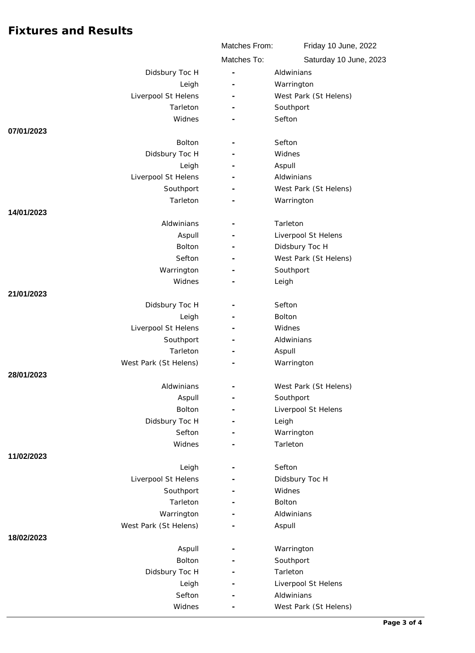|                              | Matches From:            | Friday 10 June, 2022   |
|------------------------------|--------------------------|------------------------|
|                              | Matches To:              | Saturday 10 June, 2023 |
| Didsbury Toc H               | ÷,                       | Aldwinians             |
| Leigh                        | $\overline{\phantom{m}}$ | Warrington             |
| Liverpool St Helens          |                          | West Park (St Helens)  |
| Tarleton                     |                          | Southport              |
| Widnes                       |                          | Sefton                 |
| 07/01/2023                   |                          |                        |
| <b>Bolton</b>                |                          | Sefton                 |
| Didsbury Toc H               | $\overline{\phantom{m}}$ | Widnes                 |
| Leigh                        |                          | Aspull                 |
| Liverpool St Helens          |                          | Aldwinians             |
| Southport                    |                          | West Park (St Helens)  |
| Tarleton                     | $\overline{\phantom{a}}$ | Warrington             |
| 14/01/2023                   |                          |                        |
| Aldwinians                   |                          | Tarleton               |
| Aspull                       |                          | Liverpool St Helens    |
| Bolton                       |                          | Didsbury Toc H         |
| Sefton                       |                          | West Park (St Helens)  |
| Warrington                   |                          | Southport              |
| Widnes                       |                          | Leigh                  |
| 21/01/2023                   |                          | Sefton                 |
| Didsbury Toc H               |                          | <b>Bolton</b>          |
| Leigh<br>Liverpool St Helens |                          | Widnes                 |
| Southport                    |                          | Aldwinians             |
| Tarleton                     |                          | Aspull                 |
| West Park (St Helens)        |                          | Warrington             |
| 28/01/2023                   |                          |                        |
| Aldwinians                   |                          | West Park (St Helens)  |
| Aspull                       |                          | Southport              |
| Bolton                       |                          | Liverpool St Helens    |
| Didsbury Toc H               |                          | Leigh                  |
| Sefton                       |                          | Warrington             |
| Widnes                       |                          | Tarleton               |
| 11/02/2023                   |                          |                        |
| Leigh                        | $\overline{\phantom{0}}$ | Sefton                 |
| Liverpool St Helens          |                          | Didsbury Toc H         |
| Southport                    |                          | Widnes                 |
| Tarleton                     |                          | Bolton                 |
| Warrington                   |                          | Aldwinians             |
| West Park (St Helens)        |                          | Aspull                 |
| 18/02/2023                   |                          |                        |
| Aspull                       |                          | Warrington             |
| Bolton                       |                          | Southport              |
| Didsbury Toc H               |                          | Tarleton               |
| Leigh                        |                          | Liverpool St Helens    |
| Sefton                       |                          | Aldwinians             |
| Widnes                       |                          | West Park (St Helens)  |